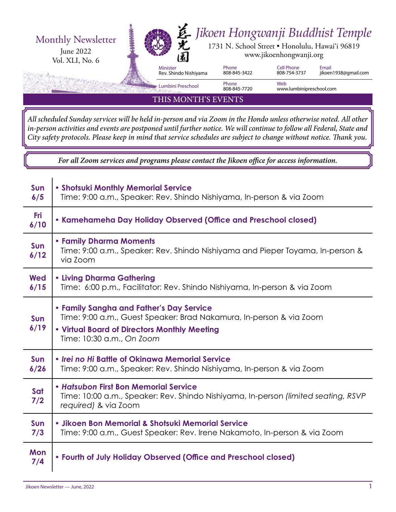

*All scheduled Sunday services will be held in-person and via Zoom in the Hondo unless otherwise noted. All other in-person activities and events are postponed until further notice. We will continue to follow all Federal, State and City safety protocols. Please keep in mind that service schedules are subject to change without notice. Thank you.*

*For all Zoom services and programs please contact the Jikoen office for access information.*

| <b>Sun</b><br>6/5  | • Shotsuki Monthly Memorial Service<br>Time: 9:00 a.m., Speaker: Rev. Shindo Nishiyama, In-person & via Zoom                                                                                 |  |  |  |  |
|--------------------|----------------------------------------------------------------------------------------------------------------------------------------------------------------------------------------------|--|--|--|--|
| <b>Fri</b><br>6/10 | • Kamehameha Day Holiday Observed (Office and Preschool closed)                                                                                                                              |  |  |  |  |
| Sun<br>6/12        | • Family Dharma Moments<br>Time: 9:00 a.m., Speaker: Rev. Shindo Nishiyama and Pieper Toyama, In-person &<br>via Zoom                                                                        |  |  |  |  |
| <b>Wed</b><br>6/15 | <b>• Living Dharma Gathering</b><br>Time: 6:00 p.m., Facilitator: Rev. Shindo Nishiyama, In-person & via Zoom                                                                                |  |  |  |  |
| <b>Sun</b><br>6/19 | • Family Sangha and Father's Day Service<br>Time: 9:00 a.m., Guest Speaker: Brad Nakamura, In-person & via Zoom<br>. Virtual Board of Directors Monthly Meeting<br>Time: 10:30 a.m., On Zoom |  |  |  |  |
| Sun<br>6/26        | • Irei no Hi Battle of Okinawa Memorial Service<br>Time: 9:00 a.m., Speaker: Rev. Shindo Nishiyama, In-person & via Zoom                                                                     |  |  |  |  |
| Sat<br>7/2         | • Hatsubon First Bon Memorial Service<br>Time: 10:00 a.m., Speaker: Rev. Shindo Nishiyama, In-person (limited seating, RSVP<br>required) & via Zoom                                          |  |  |  |  |
| Sun<br>7/3         | · Jikoen Bon Memorial & Shotsuki Memorial Service<br>Time: 9:00 a.m., Guest Speaker: Rev. Irene Nakamoto, In-person & via Zoom                                                               |  |  |  |  |
| Mon<br>7/4         | • Fourth of July Holiday Observed (Office and Preschool closed)                                                                                                                              |  |  |  |  |

 $\mathbf{I}$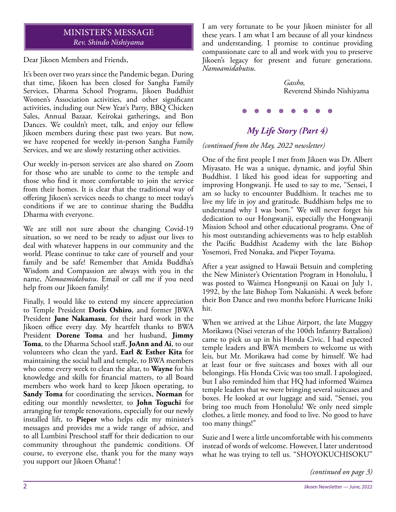#### MINISTER'S MESSAGE *Rev. Shindo Nishiyama*

Dear Jikoen Members and Friends,

It's been over two years since the Pandemic began. During that time, Jikoen has been closed for Sangha Family Services, Dharma School Programs, Jikoen Buddhist Women's Association activities, and other significant activities, including our New Year's Party, BBQ Chicken Sales, Annual Bazaar, Keirokai gatherings, and Bon Dances. We couldn't meet, talk, and enjoy our fellow Jikoen members during these past two years. But now, we have reopened for weekly in-person Sangha Family Services, and we are slowly restarting other activities.

Our weekly in-person services are also shared on Zoom for those who are unable to come to the temple and those who find it more comfortable to join the service from their homes. It is clear that the traditional way of offering Jikoen's services needs to change to meet today's conditions if we are to continue sharing the Buddha Dharma with everyone.

We are still not sure about the changing Covid-19 situation, so we need to be ready to adjust our lives to deal with whatever happens in our community and the world. Please continue to take care of yourself and your family and be safe! Remember that Amida Buddha's Wisdom and Compassion are always with you in the name, *Namoamidabutsu*. Email or call me if you need help from our Jikoen family!

Finally, I would like to extend my sincere appreciation to Temple President **Doris Oshiro**, and former JBWA President **June Nakamasu**, for their hard work in the Jikoen office every day. My heartfelt thanks to BWA President **Dorene Toma** and her husband, **Jimmy Toma**, to the Dharma School staff, **JoAnn and Ai**, to our volunteers who clean the yard, **Earl & Esther Kita** for maintaining the social hall and temple, to BWA members who come every week to clean the altar, to **Wayne** for his knowledge and skills for financial matters, to all Board members who work hard to keep Jikoen operating, to **Sandy Toma** for coordinating the services, **Norman** for editing our monthly newsletter, to **John Toguchi** for arranging for temple renovations, especially for our newly installed lift, to **Pieper** who helps edit my minister's messages and provides me a wide range of advice, and to all Lumbini Preschool staff for their dedication to our community throughout the pandemic conditions. Of course, to everyone else, thank you for the many ways you support our Jikoen Ohana! !

I am very fortunate to be your Jikoen minister for all these years. I am what I am because of all your kindness and understanding. I promise to continue providing compassionate care to all and work with you to preserve Jikoen's legacy for present and future generations. *Namoamidabutsu*.

> *Gassho,*  Reverend Shindo Nishiyama

*My Life Story (Part 4)*

*(continued from the May, 2022 newsletter)*

One of the first people I met from Jikoen was Dr. Albert Miyasato. He was a unique, dynamic, and joyful Shin Buddhist. I liked his good ideas for supporting and improving Hongwanji. He used to say to me, "Sensei, I am so lucky to encounter Buddhism. It teaches me to live my life in joy and gratitude. Buddhism helps me to understand why I was born." We will never forget his dedication to our Hongwanji, especially the Hongwanji Mission School and other educational programs. One of his most outstanding achievements was to help establish the Pacific Buddhist Academy with the late Bishop Yosemori, Fred Nonaka, and Pieper Toyama.

After a year assigned to Hawaii Betsuin and completing the New Minister's Orientation Program in Honolulu, I was posted to Waimea Hongwanji on Kauai on July 1, 1992, by the late Bishop Tom Nakanishi. A week before their Bon Dance and two months before Hurricane Iniki hit.

When we arrived at the Lihue Airport, the late Muggsy Morikawa (Nisei veteran of the 100th Infantry Battalion) came to pick us up in his Honda Civic. I had expected temple leaders and BWA members to welcome us with leis, but Mr. Morikawa had come by himself. We had at least four or five suitcases and boxes with all our belongings. His Honda Civic was too small. I apologized, but I also reminded him that HQ had informed Waimea temple leaders that we were bringing several suitcases and boxes. He looked at our luggage and said, "Sensei, you bring too much from Honolulu! We only need simple clothes, a little money, and food to live. No good to have too many things!"

Suzie and I were a little uncomfortable with his comments instead of words of welcome. However, I later understood what he was trying to tell us. "SHOYOKUCHISOKU"

*(continued on page 3)*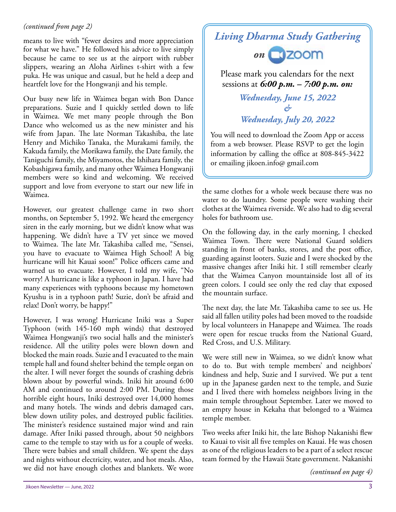#### *(continued from page 2)*

means to live with "fewer desires and more appreciation for what we have." He followed his advice to live simply because he came to see us at the airport with rubber slippers, wearing an Aloha Airlines t-shirt with a few puka. He was unique and casual, but he held a deep and heartfelt love for the Hongwanji and his temple.

Our busy new life in Waimea began with Bon Dance preparations. Suzie and I quickly settled down to life in Waimea. We met many people through the Bon Dance who welcomed us as the new minister and his wife from Japan. The late Norman Takashiba, the late Henry and Michiko Tanaka, the Murakami family, the Kakuda family, the Morikawa family, the Date family, the Taniguchi family, the Miyamotos, the Ishihara family, the Kobashigawa family, and many other Waimea Hongwanji members were so kind and welcoming. We received support and love from everyone to start our new life in Waimea.

However, our greatest challenge came in two short months, on September 5, 1992. We heard the emergency siren in the early morning, but we didn't know what was happening. We didn't have a TV yet since we moved to Waimea. The late Mr. Takashiba called me, "Sensei, you have to evacuate to Waimea High School! A big hurricane will hit Kauai soon!" Police officers came and warned us to evacuate. However, I told my wife, "No worry! A hurricane is like a typhoon in Japan. I have had many experiences with typhoons because my hometown Kyushu is in a typhoon path! Suzie, don't be afraid and relax! Don't worry, be happy!"

However, I was wrong! Hurricane Iniki was a Super Typhoon (with 145-160 mph winds) that destroyed Waimea Hongwanji's two social halls and the minister's residence. All the utility poles were blown down and blocked the main roads. Suzie and I evacuated to the main temple hall and found shelter behind the temple organ on the alter. I will never forget the sounds of crashing debris blown about by powerful winds. Iniki hit around 6:00 AM and continued to around 2:00 PM. During those horrible eight hours, Iniki destroyed over 14,000 homes and many hotels. The winds and debris damaged cars, blew down utility poles, and destroyed public facilities. The minister's residence sustained major wind and rain damage. After Iniki passed through, about 50 neighbors came to the temple to stay with us for a couple of weeks. There were babies and small children. We spent the days and nights without electricity, water, and hot meals. Also, we did not have enough clothes and blankets. We wore

# *Living Dharma Study Gathering*



Please mark you calendars for the next sessions at *6:00 p.m. – 7:00 p.m. on:*

> *Wednesday, June 15, 2022 & Wednesday, July 20, 2022*

You will need to download the Zoom App or access from a web browser. Please RSVP to get the login information by calling the office at 808-845-3422 or emailing jikoen.info@ gmail.com

the same clothes for a whole week because there was no water to do laundry. Some people were washing their clothes at the Waimea riverside. We also had to dig several holes for bathroom use.

On the following day, in the early morning, I checked Waimea Town. There were National Guard soldiers standing in front of banks, stores, and the post office, guarding against looters. Suzie and I were shocked by the massive changes after Iniki hit. I still remember clearly that the Waimea Canyon mountainside lost all of its green colors. I could see only the red clay that exposed the mountain surface.

The next day, the late Mr. Takashiba came to see us. He said all fallen utility poles had been moved to the roadside by local volunteers in Hanapepe and Waimea. The roads were open for rescue trucks from the National Guard, Red Cross, and U.S. Military.

We were still new in Waimea, so we didn't know what to do to. But with temple members' and neighbors' kindness and help, Suzie and I survived. We put a tent up in the Japanese garden next to the temple, and Suzie and I lived there with homeless neighbors living in the main temple throughout September. Later we moved to an empty house in Kekaha that belonged to a Waimea temple member.

Two weeks after Iniki hit, the late Bishop Nakanishi flew to Kauai to visit all five temples on Kauai. He was chosen as one of the religious leaders to be a part of a select rescue team formed by the Hawaii State government. Nakanishi

*(continued on page 4)*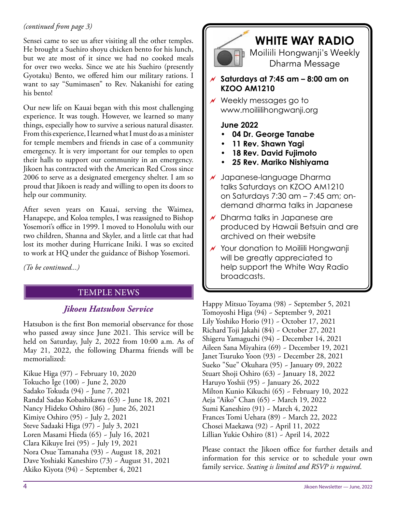#### *(continued from page 3)*

Sensei came to see us after visiting all the other temples. He brought a Suehiro shoyu chicken bento for his lunch, but we ate most of it since we had no cooked meals for over two weeks. Since we ate his Suehiro (presently Gyotaku) Bento, we offered him our military rations. I want to say "Sumimasen" to Rev. Nakanishi for eating his bento!

Our new life on Kauai began with this most challenging experience. It was tough. However, we learned so many things, especially how to survive a serious natural disaster. From this experience, I learned what I must do as a minister for temple members and friends in case of a community emergency. It is very important for our temples to open their halls to support our community in an emergency. Jikoen has contracted with the American Red Cross since 2006 to serve as a designated emergency shelter. I am so proud that Jikoen is ready and willing to open its doors to help our community.

After seven years on Kauai, serving the Waimea, Hanapepe, and Koloa temples, I was reassigned to Bishop Yosemori's office in 1999. I moved to Honolulu with our two children, Shanna and Skyler, and a little cat that had lost its mother during Hurricane Iniki. I was so excited to work at HQ under the guidance of Bishop Yosemori.

*(To be continued...)*

#### TEMPLE NEWS

#### *Jikoen Hatsubon Service*

Hatsubon is the first Bon memorial observance for those who passed away since June 2021. This service will be held on Saturday, July 2, 2022 from 10:00 a.m. As of May 21, 2022, the following Dharma friends will be memorialized:

Kikue Higa (97) ~ February 10, 2020 Tokucho Ige (100) ~ June 2, 2020 Sadako Tokuda (94) ~ June 7, 2021 Randal Sadao Kobashikawa (63) ~ June 18, 2021 Nancy Hideko Oshiro (86) ~ June 26, 2021 Kimiye Oshiro (95) ~ July 2, 2021 Steve Sadaaki Higa (97) ~ July 3, 2021 Loren Masami Hieda (65) ~ July 16, 2021 Clara Kikuye Irei (95) ~ July 19, 2021 Nora Osue Tamanaha (93) ~ August 18, 2021 Dave Yoshiaki Kaneshiro (73) ~ August 31, 2021 Akiko Kiyota (94) ~ September 4, 2021



# **WHITE WAY RADIO**

Moiliili Hongwanji's Weekly Dharma Message

 **Saturdays at 7:45 am – 8:00 am on KZOO AM1210**

 Weekly messages go to www.moiliilihongwanji.org

#### **June 2022**

- **04 Dr. George Tanabe**
- **11 Rev. Shawn Yagi**
- **18 Rev. David Fujimoto**
- **25 Rev. Mariko Nishiyama**
- $\overline{\prime}$  Japanese-language Dharma talks Saturdays on KZOO AM1210 on Saturdays 7:30 am – 7:45 am; ondemand dharma talks in Japanese
- $\sqrt{\phantom{a}}$  Dharma talks in Japanese are produced by Hawaii Betsuin and are archived on their website
- $\sqrt{\ }$  Your donation to Moiliili Hongwanji will be greatly appreciated to help support the White Way Radio broadcasts.

Happy Mitsuo Toyama (98) ~ September 5, 2021 Tomoyoshi Higa (94) ~ September 9, 2021 Lily Yoshiko Horio (91) ~ October 17, 2021 Richard Toji Jakahi (84) ~ October 27, 2021 Shigeru Yamaguchi (94) ~ December 14, 2021 Aileen Sana Miyahira (69) ~ December 19, 2021 Janet Tsuruko Yoon (93) ~ December 28, 2021 Sueko "Sue" Okuhara (95) ~ January 09, 2022 Stuart Shoji Oshiro (63) ~ January 18, 2022 Haruyo Yoshii (95) ~ January 26, 2022 Milton Kunio Kikuchi (65) ~ February 10, 2022 Aeja "Aiko" Chan (65) ~ March 19, 2022 Sumi Kaneshiro (91) ~ March 4, 2022 Frances Tomi Uehara (89) ~ March 22, 2022 Chosei Maekawa (92) ~ April 11, 2022 Lillian Yukie Oshiro (81) ~ April 14, 2022

Please contact the Jikoen office for further details and information for this service or to schedule your own family service. *Seating is limited and RSVP is required*.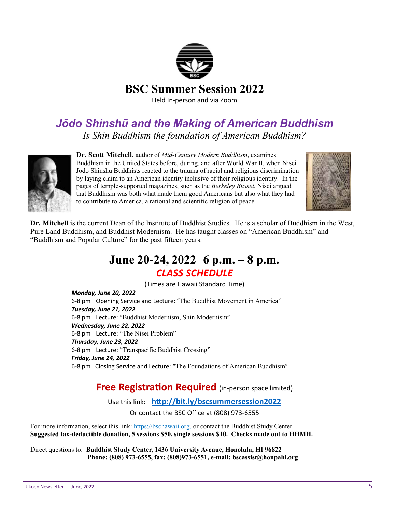

### *Jōdo Shinshū and the Making of American Buddhism Is Shin Buddhism the foundation of American Buddhism?*



**Dr. Scott Mitchell**, author of *Mid-Century Modern Buddhism*, examines Buddhism in the United States before, during, and after World War II, when Nisei Jodo Shinshu Buddhists reacted to the trauma of racial and religious discrimination by laying claim to an American identity inclusive of their religious identity. In the pages of temple-supported magazines, such as the *Berkeley Bussei*, Nisei argued that Buddhism was both what made them good Americans but also what they had to contribute to America, a rational and scientific religion of peace.



**Dr. Mitchell** is the current Dean of the Institute of Buddhist Studies. He is a scholar of Buddhism in the West, Pure Land Buddhism, and Buddhist Modernism. He has taught classes on "American Buddhism" and "Buddhism and Popular Culture" for the past fifteen years.

## **June 20-24, 2022 6 p.m. – 8 p.m.** *CLASS SCHEDULE*

(Times are Hawaii Standard Time) *Monday, June 20, 2022*

6-8 pm Opening Service and Lecture: "The Buddhist Movement in America" *Tuesday, June 21, 2022* 6-8 pm Lecture: "Buddhist Modernism, Shin Modernism" *Wednesday, June 22, 2022* 6-8 pm Lecture: "The Nisei Problem" *Thursday, June 23, 2022* 6-8 pm Lecture: "Transpacific Buddhist Crossing" *Friday, June 24, 2022* 6-8 pm Closing Service and Lecture: "The Foundations of American Buddhism"

#### **Free Registration Required** (in-person space limited)

Use this link: http://bit.ly/bscsummersession2022

Or contact the BSC Office at (808) 973-6555

For more information, select this link: https://bschawaii.org, or contact the Buddhist Study Center **Suggested tax-deductible donation, 5 sessions \$50, single sessions \$10. Checks made out to HHMH.**

Direct questions to: **Buddhist Study Center, 1436 University Avenue, Honolulu, HI 96822 Phone: (808) 973-6555, fax: (808)973-6551, e-mail: bscassist@honpahi.org**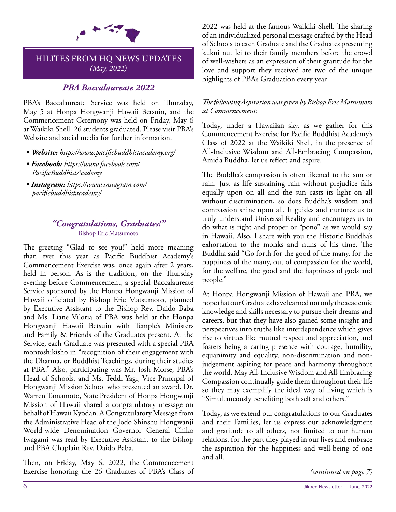

#### HILITES FROM HQ NEWS UPDATES *(May, 2022)*

#### *PBA Baccalaureate 2022*

PBA's Baccalaureate Service was held on Thursday, May 5 at Honpa Hongwanji Hawaii Betsuin, and the Commencement Ceremony was held on Friday, May 6 at Waikiki Shell. 26 students graduated. Please visit PBA's Website and social media for further information.

- *Website: https://www.pacificbuddhistacademy.org/*
- *Facebook: https://www.facebook.com/ PacificBuddhistAcademy*
- *Instagram: https://www.instagram.com/ pacificbuddhistacademy/*

#### *"Congratulations, Graduates!"*  Bishop Eric Matsumoto

The greeting "Glad to see you!" held more meaning than ever this year as Pacific Buddhist Academy's Commencement Exercise was, once again after 2 years, held in person. As is the tradition, on the Thursday evening before Commencement, a special Baccalaureate Service sponsored by the Honpa Hongwanji Mission of Hawaii officiated by Bishop Eric Matsumoto, planned by Executive Assistant to the Bishop Rev. Daido Baba and Ms. Liane Viloria of PBA was held at the Honpa Hongwanji Hawaii Betsuin with Temple's Ministers and Family & Friends of the Graduates present. At the Service, each Graduate was presented with a special PBA montoshikisho in "recognition of their engagement with the Dharma, or Buddhist Teachings, during their studies at PBA." Also, participating was Mr. Josh Morse, PBA's Head of Schools, and Ms. Teddi Yagi, Vice Principal of Hongwanji Mission School who presented an award. Dr. Warren Tamamoto, State President of Honpa Hongwanji Mission of Hawaii shared a congratulatory message on behalf of Hawaii Kyodan. A Congratulatory Message from the Administrative Head of the Jodo Shinshu Hongwanji World-wide Denomination Governor General Chiko Iwagami was read by Executive Assistant to the Bishop and PBA Chaplain Rev. Daido Baba.

Then, on Friday, May 6, 2022, the Commencement Exercise honoring the 26 Graduates of PBA's Class of 2022 was held at the famous Waikiki Shell. The sharing of an individualized personal message crafted by the Head of Schools to each Graduate and the Graduates presenting kukui nut lei to their family members before the crowd of well-wishers as an expression of their gratitude for the love and support they received are two of the unique highlights of PBA's Graduation every year.

#### *The following Aspiration was given by Bishop Eric Matsumoto at Commencement:*

Today, under a Hawaiian sky, as we gather for this Commencement Exercise for Pacific Buddhist Academy's Class of 2022 at the Waikiki Shell, in the presence of All-Inclusive Wisdom and All-Embracing Compassion, Amida Buddha, let us reflect and aspire.

The Buddha's compassion is often likened to the sun or rain. Just as life sustaining rain without prejudice falls equally upon on all and the sun casts its light on all without discrimination, so does Buddha's wisdom and compassion shine upon all. It guides and nurtures us to truly understand Universal Reality and encourages us to do what is right and proper or "pono" as we would say in Hawaii. Also, I share with you the Historic Buddha's exhortation to the monks and nuns of his time. The Buddha said "Go forth for the good of the many, for the happiness of the many, out of compassion for the world, for the welfare, the good and the happiness of gods and people."

At Honpa Hongwanji Mission of Hawaii and PBA, we hope that our Graduates have learned not only the academic knowledge and skills necessary to pursue their dreams and careers, but that they have also gained some insight and perspectives into truths like interdependence which gives rise to virtues like mutual respect and appreciation, and fosters being a caring presence with courage, humility, equanimity and equality, non-discrimination and nonjudgement aspiring for peace and harmony throughout the world. May All-Inclusive Wisdom and All-Embracing Compassion continually guide them throughout their life so they may exemplify the ideal way of living which is "Simultaneously benefiting both self and others."

Today, as we extend our congratulations to our Graduates and their Families, let us express our acknowledgment and gratitude to all others, not limited to our human relations, for the part they played in our lives and embrace the aspiration for the happiness and well-being of one and all.

*(continued on page 7)*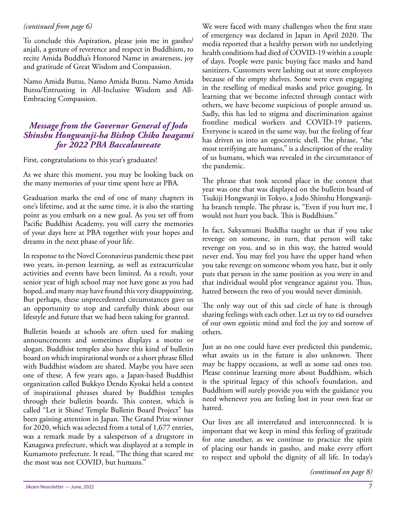#### *(continued from page 6)*

To conclude this Aspiration, please join me in gassho/ anjali, a gesture of reverence and respect in Buddhism, to recite Amida Buddha's Honored Name in awareness, joy and gratitude of Great Wisdom and Compassion.

Namo Amida Butsu, Namo Amida Butsu. Namo Amida Butsu/Entrusting in All-Inclusive Wisdom and All-Embracing Compassion.

#### *Message from the Governor General of Jodo Shinshu Hongwanji-ha Bishop Chiko Iwagami for 2022 PBA Baccalaureate*

First, congratulations to this year's graduates!

As we share this moment, you may be looking back on the many memories of your time spent here at PBA.

Graduation marks the end of one of many chapters in one's lifetime, and at the same time, it is also the starting point as you embark on a new goal. As you set off from Pacific Buddhist Academy, you will carry the memories of your days here at PBA together with your hopes and dreams in the next phase of your life.

In response to the Novel Coronavirus pandemic these past two years, in-person learning, as well as extracurricular activities and events have been limited. As a result, your senior year of high school may not have gone as you had hoped, and many may have found this very disappointing. But perhaps, these unprecedented circumstances gave us an opportunity to stop and carefully think about our lifestyle and future that we had been taking for granted.

Bulletin boards at schools are often used for making announcements and sometimes displays a motto or slogan. Buddhist temples also have this kind of bulletin board on which inspirational words or a short phrase filled with Buddhist wisdom are shared. Maybe you have seen one of these. A few years ago, a Japan-based Buddhist organization called Bukkyo Dendo Kyokai held a contest of inspirational phrases shared by Buddhist temples through their bulletin boards. This contest, which is called "Let it Shine! Temple Bulletin Board Project" has been gaining attention in Japan. The Grand Prize winner for 2020, which was selected from a total of 1,677 entries, was a remark made by a salesperson of a drugstore in Kanagawa prefecture, which was displayed at a temple in Kumamoto prefecture. It read, "The thing that scared me the most was not COVID, but humans."

We were faced with many challenges when the first state of emergency was declared in Japan in April 2020. The media reported that a healthy person with no underlying health conditions had died of COVID-19 within a couple of days. People were panic buying face masks and hand sanitizers. Customers were lashing out at store employees because of the empty shelves. Some were even engaging in the reselling of medical masks and price gouging. In learning that we become infected through contact with others, we have become suspicious of people around us. Sadly, this has led to stigma and discrimination against frontline medical workers and COVID-19 patients. Everyone is scared in the same way, but the feeling of fear has driven us into an egocentric shell. The phrase, "the most terrifying are humans," is a description of the reality of us humans, which was revealed in the circumstance of the pandemic.

The phrase that took second place in the contest that year was one that was displayed on the bulletin board of Tsukiji Hongwanji in Tokyo, a Jodo Shinshu Hongwanjiha branch temple. The phrase is, "Even if you hurt me, I would not hurt you back. This is Buddhism."

In fact, Sakyamuni Buddha taught us that if you take revenge on someone, in turn, that person will take revenge on you, and so in this way, the hatred would never end. You may feel you have the upper hand when you take revenge on someone whom you hate, but it only puts that person in the same position as you were in and that individual would plot vengeance against you. Thus, hatred between the two of you would never diminish.

The only way out of this sad circle of hate is through sharing feelings with each other. Let us try to rid ourselves of our own egoistic mind and feel the joy and sorrow of others.

Just as no one could have ever predicted this pandemic, what awaits us in the future is also unknown. There may be happy occasions, as well as some sad ones too. Please continue learning more about Buddhism, which is the spiritual legacy of this school's foundation, and Buddhism will surely provide you with the guidance you need whenever you are feeling lost in your own fear or hatred.

Our lives are all interrelated and interconnected. It is important that we keep in mind this feeling of gratitude for one another, as we continue to practice the spirit of placing our hands in gassho, and make every effort to respect and uphold the dignity of all life. In today's

*(continued on page 8)*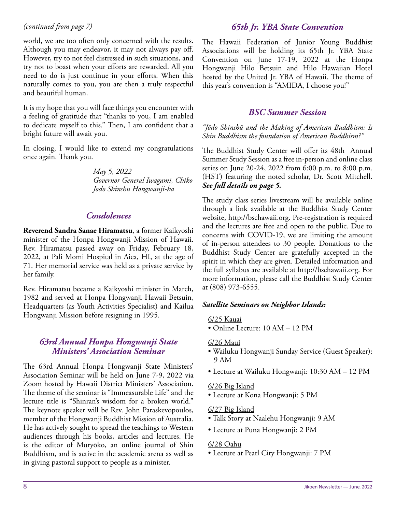#### *(continued from page 7)*

world, we are too often only concerned with the results. Although you may endeavor, it may not always pay off. However, try to not feel distressed in such situations, and try not to boast when your efforts are rewarded. All you need to do is just continue in your efforts. When this naturally comes to you, you are then a truly respectful and beautiful human.

It is my hope that you will face things you encounter with a feeling of gratitude that "thanks to you, I am enabled to dedicate myself to this." Then, I am confident that a bright future will await you.

In closing, I would like to extend my congratulations once again. Thank you.

> *May 5, 2022 Governor General Iwagami, Chiko Jodo Shinshu Hongwanji-ha*

#### *Condolences*

**Reverend Sandra Sanae Hiramatsu**, a former Kaikyoshi minister of the Honpa Hongwanji Mission of Hawaii. Rev. Hiramatsu passed away on Friday, February 18, 2022, at Pali Momi Hospital in Aiea, HI, at the age of 71. Her memorial service was held as a private service by her family.

Rev. Hiramatsu became a Kaikyoshi minister in March, 1982 and served at Honpa Hongwanji Hawaii Betsuin, Headquarters (as Youth Activities Specialist) and Kailua Hongwanji Mission before resigning in 1995.

#### *63rd Annual Honpa Hongwanji State Ministers' Association Seminar*

The 63rd Annual Honpa Hongwanji State Ministers' Association Seminar will be held on June 7-9, 2022 via Zoom hosted by Hawaii District Ministers' Association. The theme of the seminar is "Immeasurable Life" and the lecture title is "Shinran's wisdom for a broken world." The keynote speaker will be Rev. John Paraskevopoulos, member of the Hongwanji Buddhist Mission of Australia. He has actively sought to spread the teachings to Western audiences through his books, articles and lectures. He is the editor of Muryōko, an online journal of Shin Buddhism, and is active in the academic arena as well as in giving pastoral support to people as a minister.

#### *65th Jr. YBA State Convention*

The Hawaii Federation of Junior Young Buddhist Associations will be holding its 65th Jr. YBA State Convention on June 17-19, 2022 at the Honpa Hongwanji Hilo Betsuin and Hilo Hawaiian Hotel hosted by the United Jr. YBA of Hawaii. The theme of this year's convention is "AMIDA, I choose you!"

#### *BSC Summer Session*

*"Jōdo Shinshū and the Making of American Buddhism: Is Shin Buddhism the foundation of American Buddhism?"*

The Buddhist Study Center will offer its 48th Annual Summer Study Session as a free in-person and online class series on June 20-24, 2022 from 6:00 p.m. to 8:00 p.m. (HST) featuring the noted scholar, Dr. Scott Mitchell. *See full details on page 5.*

The study class series livestream will be available online through a link available at the Buddhist Study Center website, http://bschawaii.org. Pre-registration is required and the lectures are free and open to the public. Due to concerns with COVID-19, we are limiting the amount of in-person attendees to 30 people. Donations to the Buddhist Study Center are gratefully accepted in the spirit in which they are given. Detailed information and the full syllabus are available at http://bschawaii.org. For more information, please call the Buddhist Study Center at (808) 973-6555.

#### *Satellite Seminars on Neighbor Islands:*

6/25 Kauai

• Online Lecture: 10 AM – 12 PM

#### 6/26 Maui

- Wailuku Hongwanji Sunday Service (Guest Speaker): 9 AM
- Lecture at Wailuku Hongwanji: 10:30 AM 12 PM

#### 6/26 Big Island

• Lecture at Kona Hongwanji: 5 PM

#### 6/27 Big Island

- Talk Story at Naalehu Hongwanji: 9 AM
- Lecture at Puna Hongwanji: 2 PM

#### 6/28 Oahu

• Lecture at Pearl City Hongwanji: 7 PM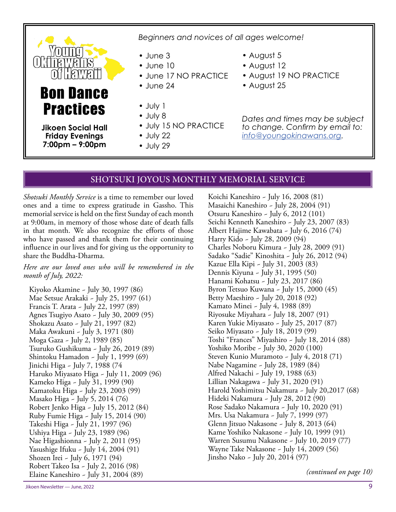# $\prod$ Bon Dance **Practices**

**Jikoen Social Hall Friday Evenings 7:00pm – 9:00pm**

*Beginners and novices of all ages welcome!*

- June 3
- June 10
- June 17 NO PRACTICE
- June 24
- July 1
- July 8
- July 15 NO PRACTICE
- July 22
- July 29
- August 5
- August 12
- August 19 NO PRACTICE
- August 25

*Dates and times may be subject*  to change. Confirm by email to: *info@youngokinawans.org.*

#### SHOTSUKI JOYOUS MONTHLY MEMORIAL SERVICE

*Shotsuki Monthly Service* is a time to remember our loved ones and a time to express gratitude in Gassho. This memorial service is held on the first Sunday of each month at 9:00am, in memory of those whose date of death falls in that month. We also recognize the efforts of those who have passed and thank them for their continuing influence in our lives and for giving us the opportunity to share the Buddha-Dharma.

*Here are our loved ones who will be remembered in the month of July, 2022:*

Kiyoko Akamine ~ July 30, 1997 (86) Mae Setsue Arakaki ~ July 25, 1997 (61) Francis T. Arata ~ July 22, 1997 (89) Agnes Tsugiyo Asato ~ July 30, 2009 (95) Shokazu Asato ~ July 21, 1997 (82) Maka Awakuni ~ July 3, 1971 (80) Moga Gaza ~ July 2, 1989 (85) Tsuruko Gushikuma ~ July 26, 2019 (89) Shintoku Hamadon ~ July 1, 1999 (69) Jinichi Higa ~ July 7, 1988 (74 Haruko Miyasato Higa ~ July 11, 2009 (96) Kameko Higa ~ July 31, 1999 (90) Kamatoku Higa ~ July 23, 2003 (99) Masako Higa ~ July 5, 2014 (76) Robert Jenko Higa ~ July 15, 2012 (84) Ruby Fumie Higa ~ July 15, 2014 (90) Takeshi Higa ~ July 21, 1997 (96) Ushiya Higa ~ July 23, 1989 (96) Nae Higashionna ~ July 2, 2011 (95) Yasushige Ifuku ~ July 14, 2004 (91) Shozen Irei ~ July 6, 1971 (94) Robert Takeo Isa ~ July 2, 2016 (98) Elaine Kaneshiro ~ July 31, 2004 (89)

Koichi Kaneshiro ~ July 16, 2008 (81) Masaichi Kaneshiro ~ July 28, 2004 (91) Otsuru Kaneshiro ~ July 6, 2012 (101) Seichi Kenneth Kaneshiro ~ July 23, 2007 (83) Albert Hajime Kawabata ~ July 6, 2016 (74) Harry Kido ~ July 28, 2009 (94) Charles Noboru Kimura ~ July 28, 2009 (91) Sadako "Sadie" Kinoshita ~ July 26, 2012 (94) Kazue Ella Kipi ~ July 31, 2003 (83) Dennis Kiyuna ~ July 31, 1995 (50) Hanami Kohatsu ~ July 23, 2017 (86) Byron Tetsuo Kuwana ~ July 15, 2000 (45) Betty Maeshiro ~ July 20, 2018 (92) Kamato Minei ~ July 4, 1988 (89) Riyosuke Miyahara ~ July 18, 2007 (91) Karen Yukie Miyasato ~ July 25, 2017 (87) Seiko Miyasato ~ July 18, 2019 (99) Toshi "Frances" Miyashiro ~ July 18, 2014 (88) Yoshiko Moribe ~ July 30, 2020 (100) Steven Kunio Muramoto ~ July 4, 2018 (71) Nabe Nagamine ~ July 28, 1989 (84) Alfred Nakachi ~ July 19, 1988 (63) Lillian Nakagawa ~ July 31, 2020 (91) Harold Yoshimitsu Nakamura ~ July 20,2017 (68) Hideki Nakamura ~ July 28, 2012 (90) Rose Sadako Nakamura ~ July 10, 2020 (91) Mrs. Usa Nakamura ~ July 7, 1999 (97) Glenn Jitsuo Nakasone ~ July 8, 2013 (64) Kame Yoshiko Nakasone ~ July 10, 1999 (91) Warren Susumu Nakasone ~ July 10, 2019 (77) Wayne Take Nakasone ~ July 14, 2009 (56) Jinsho Nako ~ July 20, 2014 (97)

*(continued on page 10)*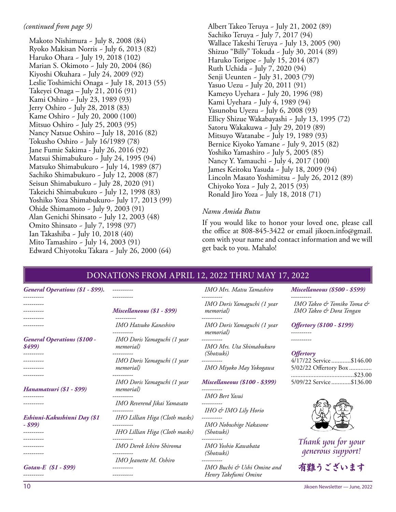#### *(continued from page 9)*

Makoto Nishimura ~ July 8, 2008 (84) Ryoko Makisan Norris ~ July 6, 2013 (82) Haruko Ohara ~ July 19, 2018 (102) Marian S. Okimoto ~ July 20, 2004 (86) Kiyoshi Okuhara ~ July 24, 2009 (92) Leslie Toshimichi Onaga ~ July 18, 2013 (55) Takeyei Onaga – July 21, 2016 (91) Kami Oshiro ~ July 23, 1989 (93) Jerry Oshiro ~ July 28, 2018 (83) Kame Oshiro ~ July 20, 2000 (100) Mitsuo Oshiro ~ July 25, 2003 (95) Nancy Natsue Oshiro – July 18, 2016 (82) Tokusho Oshiro ~ July 16/1989 (78) Jane Fumie Sakima - July 26, 2016 (92) Matsui Shimabukuro ~ July 24, 1995 (94) Matsuko Shimabukuro ~ July 14, 1989 (87) Sachiko Shimabukuro ~ July 12, 2008 (87) Seisun Shimabukuro ~ July 28, 2020 (91) Takeichi Shimabukuro ~ July 12, 1998 (83) Yoshiko Yoza Shimabukuro~ July 17, 2013 (99) Ohide Shimamoto ~ July 9, 2003 (91) Alan Genichi Shinsato ~ July 12, 2003 (48) Omito Shinsato ~ July 7, 1998 (97) Ian Takashiba ~ July 10, 2018 (40) Mito Tamashiro ~ July 14, 2003 (91) Edward Chiyotoku Takara ~ July 26, 2000 (64)

Albert Takeo Teruya ~ July 21, 2002 (89) Sachiko Teruya ~ July 7, 2017 (94) Wallace Takeshi Teruya ~ July 13, 2005 (90) Shizuo "Billy" Tokuda ~ July 30, 2014 (89) Haruko Torigoe ~ July 15, 2014 (87) Ruth Uchida ~ July 7, 2020 (94) Senji Ueunten ~ July 31, 2003 (79) Yasuo Uezu ~ July 20, 2011 (91) Kameyo Uyehara ~ July 20, 1996 (98) Kami Uyehara ~ July 4, 1989 (94) Yasunobu Uyezu ~ July 6, 2008 (93) Ellicy Shizue Wakabayashi ~ July 13, 1995 (72) Satoru Wakakuwa ~ July 29, 2019 (89) Mitsuyo Watanabe ~ July 19, 1989 (93) Bernice Kiyoko Yamane ~ July 9, 2015 (82) Yoshiko Yamashiro ~ July 5, 2005 (85) Nancy Y. Yamauchi ~ July 4, 2017 (100) James Keitoku Yasuda ~ July 18, 2009 (94) Lincoln Masato Yoshimitsu ~ July 26, 2012 (89) Chiyoko Yoza ~ July 2, 2015 (93) Ronald Jiro Yoza ~ July 18, 2018 (71)

#### *Namu Amida Butsu*

If you would like to honor your loved one, please call the office at 808-845-3422 or email jikoen.info@gmail. com with your name and contact information and we will get back to you. Mahalo!

| General Operations (\$1 - \$99).             |                                                  | IMO Mrs. Matsu Tamashiro                                       | <b>Miscellaneous (\$500 - \$599)</b>                 |
|----------------------------------------------|--------------------------------------------------|----------------------------------------------------------------|------------------------------------------------------|
| ----------                                   | Miscellaneous (\$1 - \$99)<br>----------         | IMO Doris Yamaguchi (1 year<br><i>memorial</i> )<br>---------- | IMO Takeo & Tomiko Toma &<br>IMO Takeo & Dora Tengan |
| ---------                                    | IMO Hatsuko Kaneshiro                            | IMO Doris Yamaguchi (1 year<br><i>memorial</i> )               | <b>Offertory</b> (\$100 - \$199)                     |
| <b>General Operations (\$100 -</b><br>\$499) | IMO Doris Yamaguchi (1 year<br><i>memorial</i> ) | ----------<br>IMO Mrs. Uta Shimabukuro                         |                                                      |
| ----------<br>----------                     | ----------<br>IMO Doris Yamaguchi (1 year        | <i>(Shotsuki)</i><br>----------                                | <b>Offertory</b><br>4/17/22 Service\$146.00          |
|                                              | <i>memorial</i> )                                | IMO Miyoko May Yokogawa                                        | 5/02/22 Offertory Box                                |
| Hanamatsuri (\$1 - \$99)                     | IMO Doris Yamaguchi (1 year<br><i>memorial</i> ) | <b>Miscellaneous (\$100 - \$399)</b>                           | 5/09/22 Service \$136.00                             |
| ---------                                    |                                                  | <b>IMO</b> Bert Yasui                                          |                                                      |
| ----------                                   | IMO Reverend Jikai Yamasato                      | IHO & IMO Lily Horio                                           |                                                      |
| Eshinni-Kakushinni Day (\$1<br>- \$99)       | IHO Lillian Higa (Cloth masks)                   | ----------<br>IMO Nobushige Nakasone                           |                                                      |
|                                              | IHO Lillian Higa (Cloth masks)<br>----------     | <i>(Shotsuki)</i>                                              |                                                      |
| ----------<br>----------                     | IMO Derek Ichiro Shiroma<br>----------           | IMO Yoshio Kawabata<br><i>(Shotsuki)</i>                       | Thank you for your<br>qenerous support!              |
| Gotan-E (\$1 - \$99)<br>----------           | IMO Jeanette M. Oshiro<br>----------             | IMO Buchi & Ushi Omine and<br>Henry Takefumi Omine             | 有難うございます                                             |

#### DONATIONS FROM APRIL 12, 2022 THRU MAY 17, 2022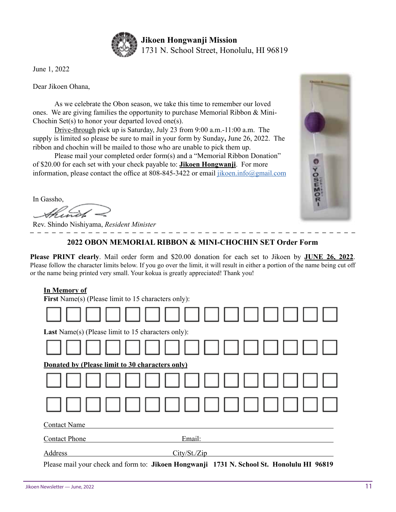

June 1, 2022

Dear Jikoen Ohana,

As we celebrate the Obon season, we take this time to remember our loved ones. We are giving families the opportunity to purchase Memorial Ribbon  $\&$  Mini-Chochin Set(s) to honor your departed loved one(s).

Drive-through pick up is Saturday, July 23 from 9:00 a.m.-11:00 a.m. The supply is limited so please be sure to mail in your form by Sunday**,** June 26, 2022. The ribbon and chochin will be mailed to those who are unable to pick them up.

Please mail your completed order form(s) and a "Memorial Ribbon Donation" of \$20.00 for each set with your check payable to: **Jikoen Hongwanji**. For more information, please contact the office at 808-845-3422 or email jikoen.info@gmail.com

In Gassho,

Rev. Shindo Nishiyama, *Resident Minister*

#### **2022 OBON MEMORIAL RIBBON & MINI-CHOCHIN SET Order Form**

**Please PRINT clearly**. Mail order form and \$20.00 donation for each set to Jikoen by **JUNE 26, 2022**. Please follow the character limits below. If you go over the limit, it will result in either a portion of the name being cut off or the name being printed very small. Your kokua is greatly appreciated! Thank you!

#### **In Memory of**

| 111 171011101 1 O.I<br><b>First Name(s) (Please limit to 15 characters only):</b> |                                                                                           |
|-----------------------------------------------------------------------------------|-------------------------------------------------------------------------------------------|
|                                                                                   |                                                                                           |
| <b>Last</b> Name(s) (Please limit to 15 characters only):                         |                                                                                           |
|                                                                                   |                                                                                           |
| Donated by (Please limit to 30 characters only)                                   |                                                                                           |
|                                                                                   | IN DI TIMUL IN DI                                                                         |
|                                                                                   | 1                                                                                         |
| <b>Contact Name</b>                                                               |                                                                                           |
| <b>Contact Phone</b>                                                              | Email:                                                                                    |
| Address                                                                           | City/St./Zip                                                                              |
|                                                                                   | Please mail your check and form to: Jikoen Hongwanji 1731 N. School St. Honolulu HI 96819 |